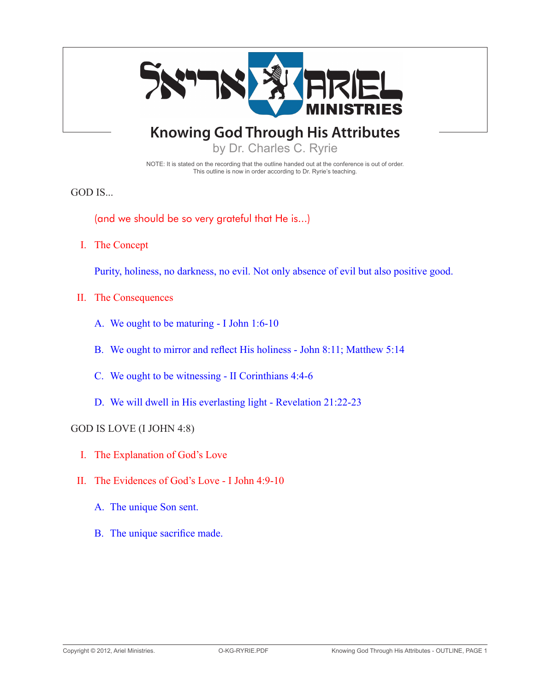

NOTE: It is stated on the recording that the outline handed out at the conference is out of order. This outline is now in order according to Dr. Ryrie's teaching.

GOD IS...

(and we should be so very grateful that He is...)

I. The Concept

Purity, holiness, no darkness, no evil. Not only absence of evil but also positive good.

- II. The Consequences
	- A. We ought to be maturing I John 1:6-10
	- B. We ought to mirror and reflect His holiness John 8:11; Matthew 5:14
	- C. We ought to be witnessing II Corinthians 4:4-6
	- D. We will dwell in His everlasting light Revelation 21:22-23

#### GOD IS LOVE (I John 4:8)

- I. The Explanation of God's Love
- II. The Evidences of God's Love I John 4:9-10
	- A. The unique Son sent.
	- B. The unique sacrifice made.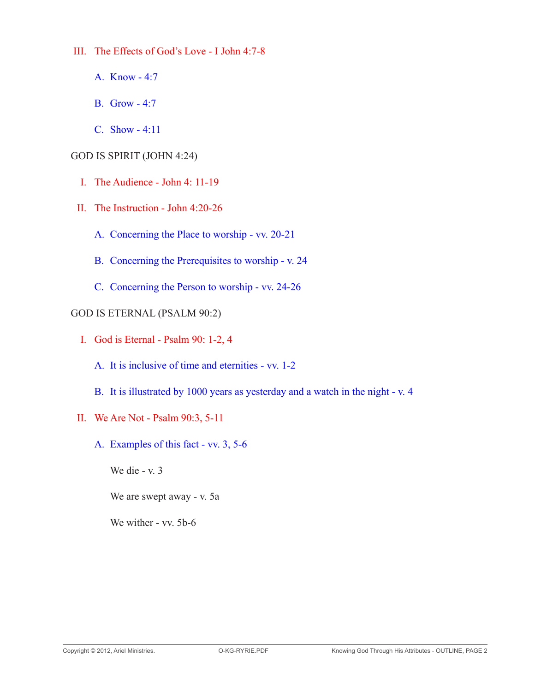III. The Effects of God's Love - I John 4:7-8

- A. Know 4:7
- **B.** Grow 4:7
- C. Show 4:11

# GOD IS SPIRIT (John 4:24)

- I. The Audience John 4: 11-19
- II. The Instruction John 4:20-26
	- A. Concerning the Place to worship vv. 20-21
	- B. Concerning the Prerequisites to worship v. 24
	- C. Concerning the Person to worship vv. 24-26

GOD IS ETERNAL (Psalm 90:2)

- I. God is Eternal Psalm 90: 1-2, 4
	- A. It is inclusive of time and eternities vv. 1-2
	- B. It is illustrated by 1000 years as yesterday and a watch in the night v. 4
- II. We Are Not Psalm 90:3, 5-11
	- A. Examples of this fact vv. 3, 5-6

 We die - v. 3

 We are swept away - v. 5a

We wither - vv. 5b-6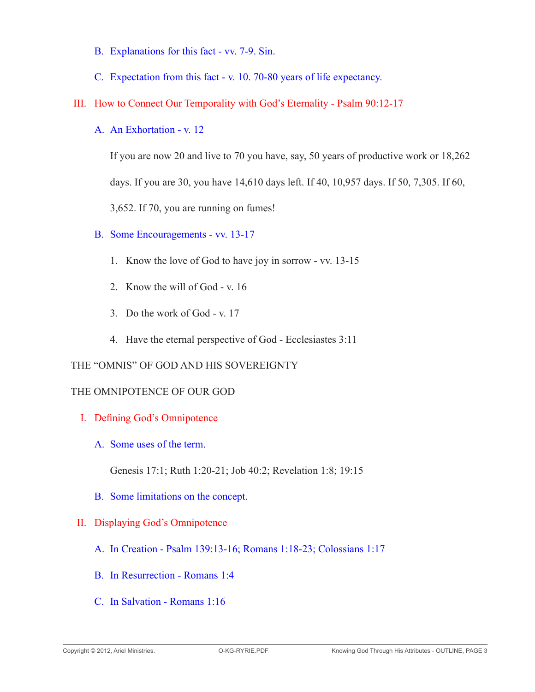- B. Explanations for this fact vv. 7-9. Sin.
- C. Expectation from this fact v. 10. 70-80 years of life expectancy.
- III. How to Connect Our Temporality with God's Eternality Psalm 90:12-17
	- A. An Exhortation v. 12

 If you are now 20 and live to 70 you have, say, 50 years of productive work or 18,262 days. If you are 30, you have 14,610 days left. If 40, 10,957 days. If 50, 7,305. If 60, 3,652. If 70, you are running on fumes!

- B. Some Encouragements vv. 13-17
	- 1. Know the love of God to have joy in sorrow vv. 13-15
	- 2. Know the will of God v. 16
	- 3. Do the work of God v. 17
	- 4. Have the eternal perspective of God Ecclesiastes 3:11

#### THE "OMNIS" OF GOD AND HIS SOVEREIGNTY

#### THE OMNIPOTENCE OF OUR GOD

- I. Defining God's Omnipotence
	- A. Some uses of the term.

 Genesis 17:1; Ruth 1:20-21; Job 40:2; Revelation 1:8; 19:15

B. Some limitations on the concept.

# II. Displaying God's Omnipotence

- A. In Creation Psalm 139:13-16; Romans 1:18-23; Colossians 1:17
- B. In Resurrection Romans 1:4
- C. In Salvation Romans 1:16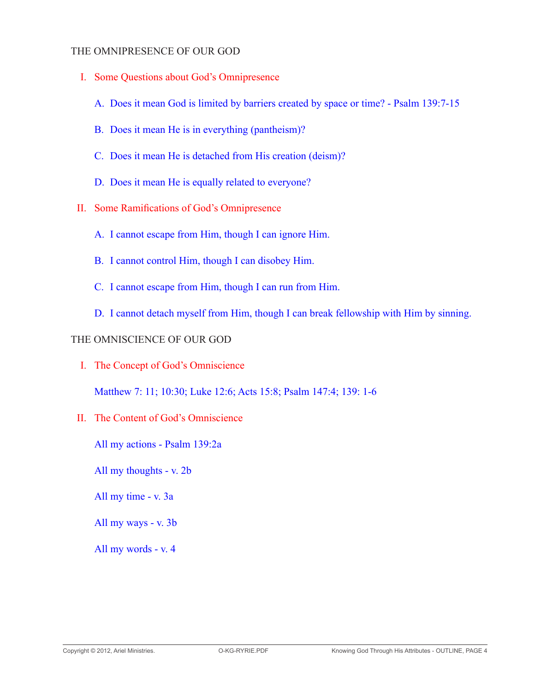### THE OMNIPRESENCE OF OUR GOD

- I. Some Questions about God's Omnipresence
	- A. Does it mean God is limited by barriers created by space or time? Psalm 139:7-15
	- B. Does it mean He is in everything (pantheism)?
	- C. Does it mean He is detached from His creation (deism)?
	- D. Does it mean He is equally related to everyone?
- II. Some Ramifications of God's Omnipresence
	- A. I cannot escape from Him, though I can ignore Him.
	- B. I cannot control Him, though I can disobey Him.
	- C. I cannot escape from Him, though I can run from Him.
	- D. I cannot detach myself from Him, though I can break fellowship with Him by sinning.

### THE OMNISCIENCE OF OUR GOD

I. The Concept of God's Omniscience

 Matthew 7: 11; 10:30; Luke 12:6; Acts 15:8; Psalm 147:4; 139: 1-6

II. The Content of God's Omniscience

 All my actions - Psalm 139:2a

 All my thoughts - v. 2b

 All my time - v. 3a

 All my ways - v. 3b

 All my words - v. 4